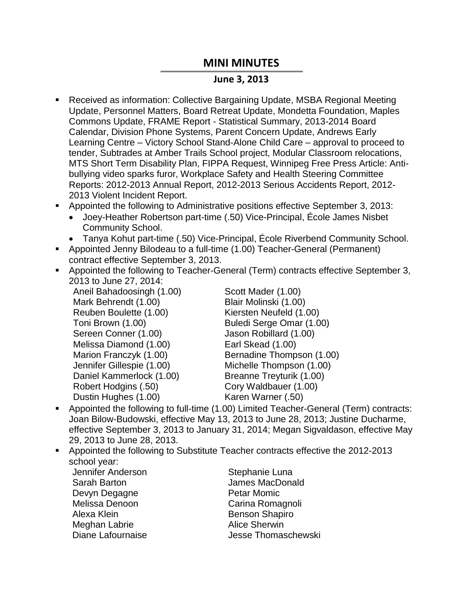## **MINI MINUTES**

## **June 3, 2013**

- Received as information: Collective Bargaining Update, MSBA Regional Meeting Update, Personnel Matters, Board Retreat Update, Mondetta Foundation, Maples Commons Update, FRAME Report - Statistical Summary, 2013-2014 Board Calendar, Division Phone Systems, Parent Concern Update, Andrews Early Learning Centre – Victory School Stand-Alone Child Care – approval to proceed to tender, Subtrades at Amber Trails School project, Modular Classroom relocations, MTS Short Term Disability Plan, FIPPA Request, Winnipeg Free Press Article: Antibullying video sparks furor, Workplace Safety and Health Steering Committee Reports: 2012-2013 Annual Report, 2012-2013 Serious Accidents Report, 2012- 2013 Violent Incident Report.
- Appointed the following to Administrative positions effective September 3, 2013:
	- Joey-Heather Robertson part-time (.50) Vice-Principal, École James Nisbet Community School.
	- Tanya Kohut part-time (.50) Vice-Principal, École Riverbend Community School.
- Appointed Jenny Bilodeau to a full-time (1.00) Teacher-General (Permanent) contract effective September 3, 2013.
- Appointed the following to Teacher-General (Term) contracts effective September 3, 2013 to June 27, 2014:

Aneil Bahadoosingh (1.00) Mark Behrendt (1.00) Reuben Boulette (1.00) Toni Brown (1.00) Sereen Conner (1.00) Melissa Diamond (1.00) Marion Franczyk (1.00) Jennifer Gillespie (1.00) Daniel Kammerlock (1.00) Robert Hodgins (.50) Dustin Hughes (1.00)

Scott Mader (1.00) Blair Molinski (1.00) Kiersten Neufeld (1.00) Buledi Serge Omar (1.00) Jason Robillard (1.00) Earl Skead (1.00) Bernadine Thompson (1.00) Michelle Thompson (1.00) Breanne Treyturik (1.00) Cory Waldbauer (1.00) Karen Warner (.50)

- Appointed the following to full-time (1.00) Limited Teacher-General (Term) contracts: Joan Bilow-Budowski, effective May 13, 2013 to June 28, 2013; Justine Ducharme, effective September 3, 2013 to January 31, 2014; Megan Sigvaldason, effective May 29, 2013 to June 28, 2013.
- Appointed the following to Substitute Teacher contracts effective the 2012-2013 school year:
	- Jennifer Anderson Stephanie Luna Sarah Barton **International Sarah Barton** James MacDonald Devyn Degagne **Petar Momic** Melissa Denoon Carina Romagnoli Alexa Klein **Benson Shapiro** Benson Shapiro Meghan Labrie **Alice Sherwin** Diane Lafournaise **Jesse Thomaschewski** 
		-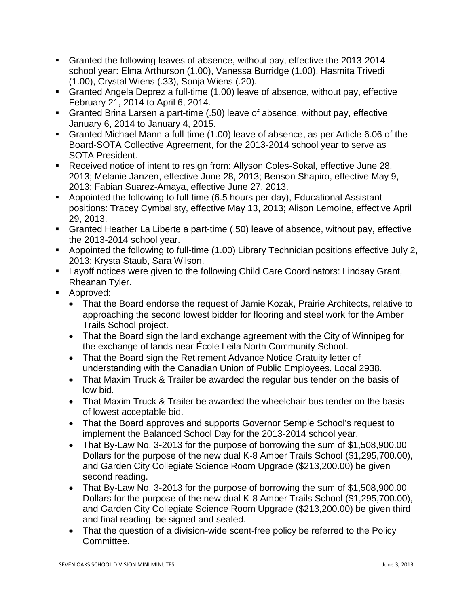- Granted the following leaves of absence, without pay, effective the 2013-2014 school year: Elma Arthurson (1.00), Vanessa Burridge (1.00), Hasmita Trivedi (1.00), Crystal Wiens (.33), Sonja Wiens (.20).
- Granted Angela Deprez a full-time (1.00) leave of absence, without pay, effective February 21, 2014 to April 6, 2014.
- Granted Brina Larsen a part-time (.50) leave of absence, without pay, effective January 6, 2014 to January 4, 2015.
- Granted Michael Mann a full-time (1.00) leave of absence, as per Article 6.06 of the Board-SOTA Collective Agreement, for the 2013-2014 school year to serve as SOTA President.
- Received notice of intent to resign from: Allyson Coles-Sokal, effective June 28, 2013; Melanie Janzen, effective June 28, 2013; Benson Shapiro, effective May 9, 2013; Fabian Suarez-Amaya, effective June 27, 2013.
- Appointed the following to full-time (6.5 hours per day), Educational Assistant positions: Tracey Cymbalisty, effective May 13, 2013; Alison Lemoine, effective April 29, 2013.
- Granted Heather La Liberte a part-time (.50) leave of absence, without pay, effective the 2013-2014 school year.
- Appointed the following to full-time (1.00) Library Technician positions effective July 2, 2013: Krysta Staub, Sara Wilson.
- Layoff notices were given to the following Child Care Coordinators: Lindsay Grant, Rheanan Tyler.
- Approved:
	- That the Board endorse the request of Jamie Kozak, Prairie Architects, relative to approaching the second lowest bidder for flooring and steel work for the Amber Trails School project.
	- That the Board sign the land exchange agreement with the City of Winnipeg for the exchange of lands near École Leila North Community School.
	- That the Board sign the Retirement Advance Notice Gratuity letter of understanding with the Canadian Union of Public Employees, Local 2938.
	- That Maxim Truck & Trailer be awarded the regular bus tender on the basis of low bid.
	- That Maxim Truck & Trailer be awarded the wheelchair bus tender on the basis of lowest acceptable bid.
	- That the Board approves and supports Governor Semple School's request to implement the Balanced School Day for the 2013-2014 school year.
	- That By-Law No. 3-2013 for the purpose of borrowing the sum of \$1,508,900.00 Dollars for the purpose of the new dual K-8 Amber Trails School (\$1,295,700.00), and Garden City Collegiate Science Room Upgrade (\$213,200.00) be given second reading.
	- That By-Law No. 3-2013 for the purpose of borrowing the sum of \$1,508,900.00 Dollars for the purpose of the new dual K-8 Amber Trails School (\$1,295,700.00), and Garden City Collegiate Science Room Upgrade (\$213,200.00) be given third and final reading, be signed and sealed.
	- That the question of a division-wide scent-free policy be referred to the Policy Committee.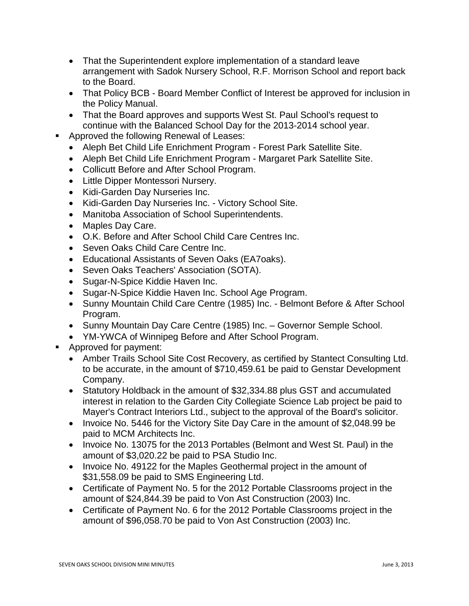- That the Superintendent explore implementation of a standard leave arrangement with Sadok Nursery School, R.F. Morrison School and report back to the Board.
- That Policy BCB Board Member Conflict of Interest be approved for inclusion in the Policy Manual.
- That the Board approves and supports West St. Paul School's request to continue with the Balanced School Day for the 2013-2014 school year.
- **Approved the following Renewal of Leases:** 
	- Aleph Bet Child Life Enrichment Program Forest Park Satellite Site.
	- Aleph Bet Child Life Enrichment Program Margaret Park Satellite Site.
	- Collicutt Before and After School Program.
	- Little Dipper Montessori Nursery.
	- Kidi-Garden Day Nurseries Inc.
	- Kidi-Garden Day Nurseries Inc. Victory School Site.
	- Manitoba Association of School Superintendents.
	- Maples Day Care.
	- O.K. Before and After School Child Care Centres Inc.
	- Seven Oaks Child Care Centre Inc.
	- Educational Assistants of Seven Oaks (EA7oaks).
	- Seven Oaks Teachers' Association (SOTA).
	- Sugar-N-Spice Kiddie Haven Inc.
	- Sugar-N-Spice Kiddie Haven Inc. School Age Program.
	- Sunny Mountain Child Care Centre (1985) Inc. Belmont Before & After School Program.
	- Sunny Mountain Day Care Centre (1985) Inc. Governor Semple School.
	- YM-YWCA of Winnipeg Before and After School Program.
- **Approved for payment:** 
	- Amber Trails School Site Cost Recovery, as certified by Stantect Consulting Ltd. to be accurate, in the amount of \$710,459.61 be paid to Genstar Development Company.
	- Statutory Holdback in the amount of \$32,334.88 plus GST and accumulated interest in relation to the Garden City Collegiate Science Lab project be paid to Mayer's Contract Interiors Ltd., subject to the approval of the Board's solicitor.
	- Invoice No. 5446 for the Victory Site Day Care in the amount of \$2,048.99 be paid to MCM Architects Inc.
	- Invoice No. 13075 for the 2013 Portables (Belmont and West St. Paul) in the amount of \$3,020.22 be paid to PSA Studio Inc.
	- Invoice No. 49122 for the Maples Geothermal project in the amount of \$31,558.09 be paid to SMS Engineering Ltd.
	- Certificate of Payment No. 5 for the 2012 Portable Classrooms project in the amount of \$24,844.39 be paid to Von Ast Construction (2003) Inc.
	- Certificate of Payment No. 6 for the 2012 Portable Classrooms project in the amount of \$96,058.70 be paid to Von Ast Construction (2003) Inc.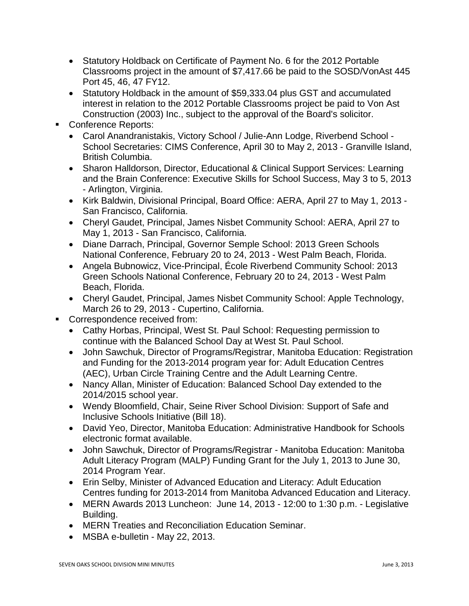- Statutory Holdback on Certificate of Payment No. 6 for the 2012 Portable Classrooms project in the amount of \$7,417.66 be paid to the SOSD/VonAst 445 Port 45, 46, 47 FY12.
- Statutory Holdback in the amount of \$59,333.04 plus GST and accumulated interest in relation to the 2012 Portable Classrooms project be paid to Von Ast Construction (2003) Inc., subject to the approval of the Board's solicitor.
- Conference Reports:
	- Carol Anandranistakis, Victory School / Julie-Ann Lodge, Riverbend School School Secretaries: CIMS Conference, April 30 to May 2, 2013 - Granville Island, British Columbia.
	- Sharon Halldorson, Director, Educational & Clinical Support Services: Learning and the Brain Conference: Executive Skills for School Success, May 3 to 5, 2013 - Arlington, Virginia.
	- Kirk Baldwin, Divisional Principal, Board Office: AERA, April 27 to May 1, 2013 San Francisco, California.
	- Cheryl Gaudet, Principal, James Nisbet Community School: AERA, April 27 to May 1, 2013 - San Francisco, California.
	- Diane Darrach, Principal, Governor Semple School: 2013 Green Schools National Conference, February 20 to 24, 2013 - West Palm Beach, Florida.
	- Angela Bubnowicz, Vice-Principal, École Riverbend Community School: 2013 Green Schools National Conference, February 20 to 24, 2013 - West Palm Beach, Florida.
	- Cheryl Gaudet, Principal, James Nisbet Community School: Apple Technology, March 26 to 29, 2013 - Cupertino, California.
- **Correspondence received from:** 
	- Cathy Horbas, Principal, West St. Paul School: Requesting permission to continue with the Balanced School Day at West St. Paul School.
	- John Sawchuk, Director of Programs/Registrar, Manitoba Education: Registration and Funding for the 2013-2014 program year for: Adult Education Centres (AEC), Urban Circle Training Centre and the Adult Learning Centre.
	- Nancy Allan, Minister of Education: Balanced School Day extended to the 2014/2015 school year.
	- Wendy Bloomfield, Chair, Seine River School Division: Support of Safe and Inclusive Schools Initiative (Bill 18).
	- David Yeo, Director, Manitoba Education: Administrative Handbook for Schools electronic format available.
	- John Sawchuk, Director of Programs/Registrar Manitoba Education: Manitoba Adult Literacy Program (MALP) Funding Grant for the July 1, 2013 to June 30, 2014 Program Year.
	- Erin Selby, Minister of Advanced Education and Literacy: Adult Education Centres funding for 2013-2014 from Manitoba Advanced Education and Literacy.
	- MERN Awards 2013 Luncheon: June 14, 2013 12:00 to 1:30 p.m. Legislative Building.
	- MERN Treaties and Reconciliation Education Seminar.
	- MSBA e-bulletin May 22, 2013.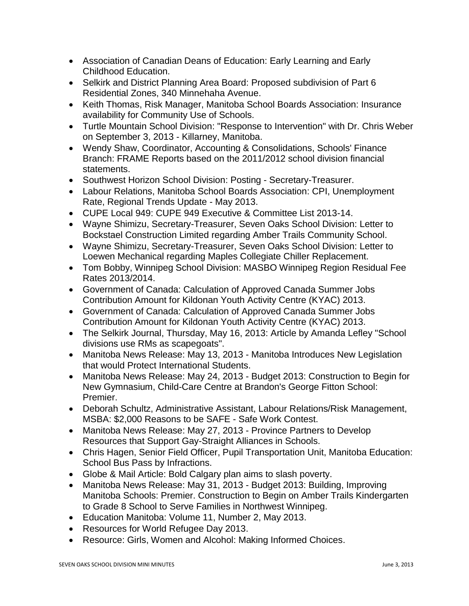- Association of Canadian Deans of Education: Early Learning and Early Childhood Education.
- Selkirk and District Planning Area Board: Proposed subdivision of Part 6 Residential Zones, 340 Minnehaha Avenue.
- Keith Thomas, Risk Manager, Manitoba School Boards Association: Insurance availability for Community Use of Schools.
- Turtle Mountain School Division: "Response to Intervention" with Dr. Chris Weber on September 3, 2013 - Killarney, Manitoba.
- Wendy Shaw, Coordinator, Accounting & Consolidations, Schools' Finance Branch: FRAME Reports based on the 2011/2012 school division financial statements.
- Southwest Horizon School Division: Posting Secretary-Treasurer.
- Labour Relations, Manitoba School Boards Association: CPI, Unemployment Rate, Regional Trends Update - May 2013.
- CUPE Local 949: CUPE 949 Executive & Committee List 2013-14.
- Wayne Shimizu, Secretary-Treasurer, Seven Oaks School Division: Letter to Bockstael Construction Limited regarding Amber Trails Community School.
- Wayne Shimizu, Secretary-Treasurer, Seven Oaks School Division: Letter to Loewen Mechanical regarding Maples Collegiate Chiller Replacement.
- Tom Bobby, Winnipeg School Division: MASBO Winnipeg Region Residual Fee Rates 2013/2014.
- Government of Canada: Calculation of Approved Canada Summer Jobs Contribution Amount for Kildonan Youth Activity Centre (KYAC) 2013.
- Government of Canada: Calculation of Approved Canada Summer Jobs Contribution Amount for Kildonan Youth Activity Centre (KYAC) 2013.
- The Selkirk Journal, Thursday, May 16, 2013: Article by Amanda Lefley "School divisions use RMs as scapegoats".
- Manitoba News Release: May 13, 2013 Manitoba Introduces New Legislation that would Protect International Students.
- Manitoba News Release: May 24, 2013 Budget 2013: Construction to Begin for New Gymnasium, Child-Care Centre at Brandon's George Fitton School: Premier.
- Deborah Schultz, Administrative Assistant, Labour Relations/Risk Management, MSBA: \$2,000 Reasons to be SAFE - Safe Work Contest.
- Manitoba News Release: May 27, 2013 Province Partners to Develop Resources that Support Gay-Straight Alliances in Schools.
- Chris Hagen, Senior Field Officer, Pupil Transportation Unit, Manitoba Education: School Bus Pass by Infractions.
- Globe & Mail Article: Bold Calgary plan aims to slash poverty.
- Manitoba News Release: May 31, 2013 Budget 2013: Building, Improving Manitoba Schools: Premier. Construction to Begin on Amber Trails Kindergarten to Grade 8 School to Serve Families in Northwest Winnipeg.
- Education Manitoba: Volume 11, Number 2, May 2013.
- Resources for World Refugee Day 2013.
- Resource: Girls, Women and Alcohol: Making Informed Choices.